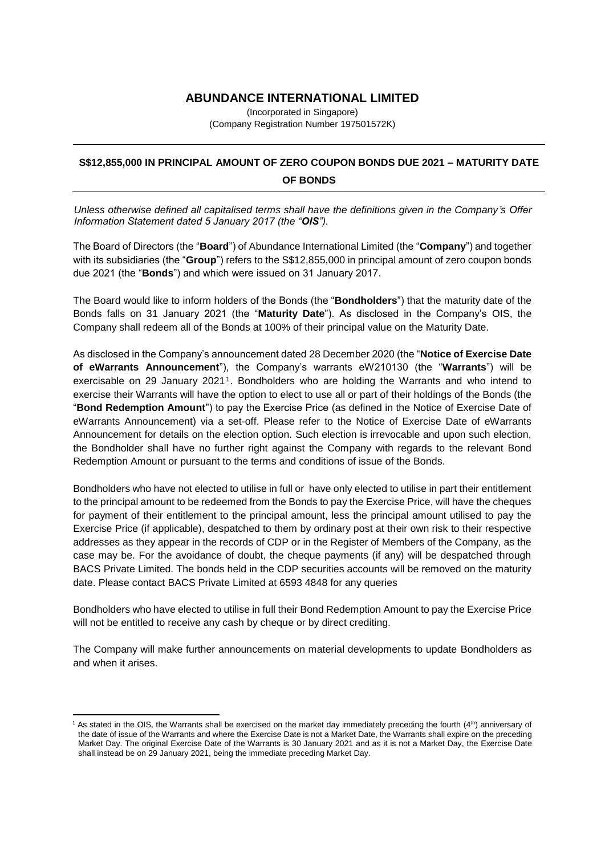## **ABUNDANCE INTERNATIONAL LIMITED**

(Incorporated in Singapore) (Company Registration Number 197501572K)

## **S\$12,855,000 IN PRINCIPAL AMOUNT OF ZERO COUPON BONDS DUE 2021 – MATURITY DATE OF BONDS**

*Unless otherwise defined all capitalised terms shall have the definitions given in the Company's Offer Information Statement dated 5 January 2017 (the "OIS").*

The Board of Directors (the "**Board**") of Abundance International Limited (the "**Company**") and together with its subsidiaries (the "**Group**") refers to the S\$12,855,000 in principal amount of zero coupon bonds due 2021 (the "**Bonds**") and which were issued on 31 January 2017.

The Board would like to inform holders of the Bonds (the "**Bondholders**") that the maturity date of the Bonds falls on 31 January 2021 (the "**Maturity Date**"). As disclosed in the Company's OIS, the Company shall redeem all of the Bonds at 100% of their principal value on the Maturity Date.

As disclosed in the Company's announcement dated 28 December 2020 (the "**Notice of Exercise Date of eWarrants Announcement**"), the Company's warrants eW210130 (the "**Warrants**") will be exercisable on 29 January 2021<sup>1</sup>. Bondholders who are holding the Warrants and who intend to exercise their Warrants will have the option to elect to use all or part of their holdings of the Bonds (the "**Bond Redemption Amount**") to pay the Exercise Price (as defined in the Notice of Exercise Date of eWarrants Announcement) via a set-off. Please refer to the Notice of Exercise Date of eWarrants Announcement for details on the election option. Such election is irrevocable and upon such election, the Bondholder shall have no further right against the Company with regards to the relevant Bond Redemption Amount or pursuant to the terms and conditions of issue of the Bonds.

Bondholders who have not elected to utilise in full or have only elected to utilise in part their entitlement to the principal amount to be redeemed from the Bonds to pay the Exercise Price, will have the cheques for payment of their entitlement to the principal amount, less the principal amount utilised to pay the Exercise Price (if applicable), despatched to them by ordinary post at their own risk to their respective addresses as they appear in the records of CDP or in the Register of Members of the Company, as the case may be. For the avoidance of doubt, the cheque payments (if any) will be despatched through BACS Private Limited. The bonds held in the CDP securities accounts will be removed on the maturity date. Please contact BACS Private Limited at 6593 4848 for any queries

Bondholders who have elected to utilise in full their Bond Redemption Amount to pay the Exercise Price will not be entitled to receive any cash by cheque or by direct crediting.

The Company will make further announcements on material developments to update Bondholders as and when it arises.

1

 $1$  As stated in the OIS, the Warrants shall be exercised on the market day immediately preceding the fourth  $(4<sup>th</sup>)$  anniversary of the date of issue of the Warrants and where the Exercise Date is not a Market Date, the Warrants shall expire on the preceding Market Day. The original Exercise Date of the Warrants is 30 January 2021 and as it is not a Market Day, the Exercise Date shall instead be on 29 January 2021, being the immediate preceding Market Day.